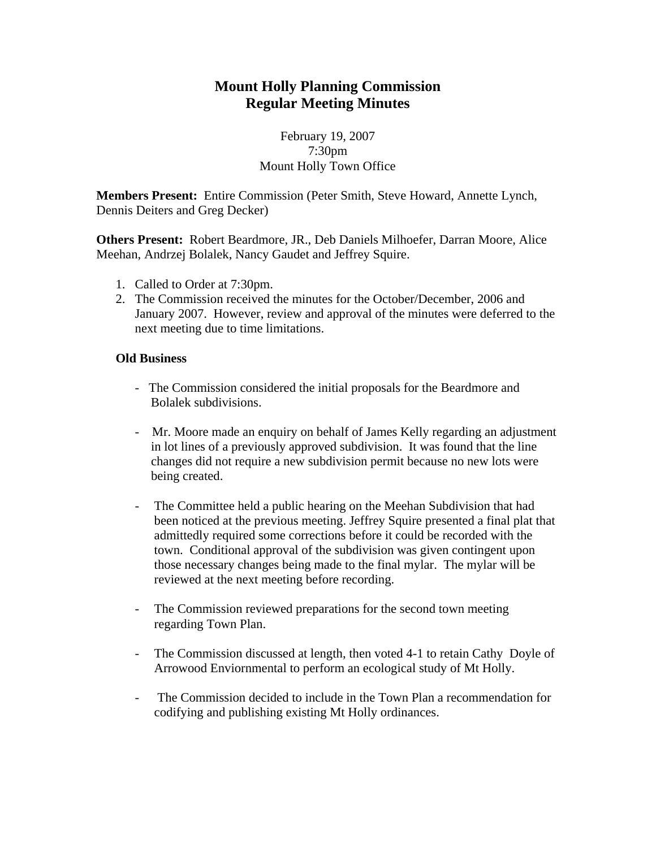# **Mount Holly Planning Commission Regular Meeting Minutes**

### February 19, 2007 7:30pm Mount Holly Town Office

**Members Present:** Entire Commission (Peter Smith, Steve Howard, Annette Lynch, Dennis Deiters and Greg Decker)

**Others Present:** Robert Beardmore, JR., Deb Daniels Milhoefer, Darran Moore, Alice Meehan, Andrzej Bolalek, Nancy Gaudet and Jeffrey Squire.

- 1. Called to Order at 7:30pm.
- 2. The Commission received the minutes for the October/December, 2006 and January 2007. However, review and approval of the minutes were deferred to the next meeting due to time limitations.

#### **Old Business**

- The Commission considered the initial proposals for the Beardmore and Bolalek subdivisions.
- Mr. Moore made an enquiry on behalf of James Kelly regarding an adjustment in lot lines of a previously approved subdivision. It was found that the line changes did not require a new subdivision permit because no new lots were being created.
- The Committee held a public hearing on the Meehan Subdivision that had been noticed at the previous meeting. Jeffrey Squire presented a final plat that admittedly required some corrections before it could be recorded with the town. Conditional approval of the subdivision was given contingent upon those necessary changes being made to the final mylar. The mylar will be reviewed at the next meeting before recording.
- The Commission reviewed preparations for the second town meeting regarding Town Plan.
- The Commission discussed at length, then voted 4-1 to retain Cathy Doyle of Arrowood Enviornmental to perform an ecological study of Mt Holly.
- The Commission decided to include in the Town Plan a recommendation for codifying and publishing existing Mt Holly ordinances.